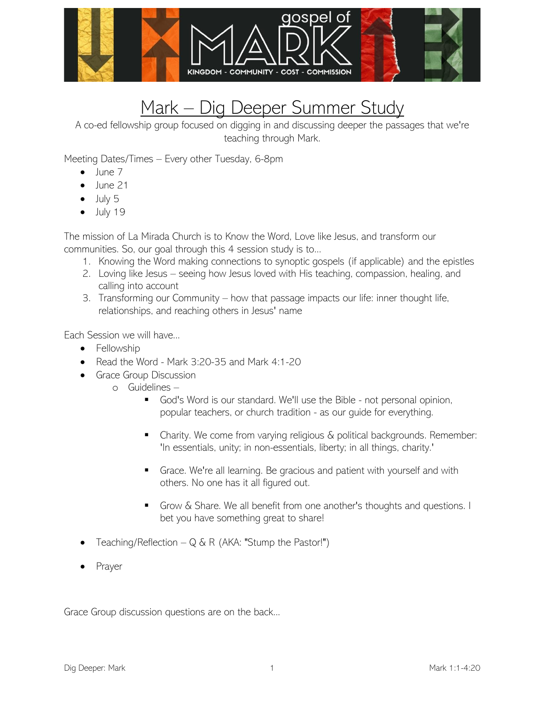

## Mark - Dig Deeper Summer Study

A co-ed fellowship group focused on digging in and discussing deeper the passages that we're teaching through Mark.

Meeting Dates/Times – Every other Tuesday, 6-8pm

- $\bullet$  lune  $7$
- June 21
- $\bullet$  July 5
- $\bullet$  July 19

The mission of La Mirada Church is to Know the Word, Love like Jesus, and transform our communities. So, our goal through this 4 session study is to...

- 1. Knowing the Word making connections to synoptic gospels (if applicable) and the epistles
- 2. Loving like Jesus seeing how Jesus loved with His teaching, compassion, healing, and calling into account
- 3. Transforming our Community how that passage impacts our life: inner thought life, relationships, and reaching others in Jesus' name

Each Session we will have...

- Fellowship
- Read the Word Mark 3:20-35 and Mark 4:1-20
- Grace Group Discussion
	- o Guidelines
		- God's Word is our standard. We'll use the Bible not personal opinion, popular teachers, or church tradition - as our guide for everything.
		- Charity. We come from varying religious & political backgrounds. Remember: 'In essentials, unity; in non-essentials, liberty; in all things, charity.'
		- **EXT** Grace. We're all learning. Be gracious and patient with yourself and with others. No one has it all figured out.
		- Grow & Share. We all benefit from one another's thoughts and questions. I bet you have something great to share!
- Teaching/Reflection  $-Q & R$  (AKA: "Stump the Pastor!")
- **Prayer**

Grace Group discussion questions are on the back...